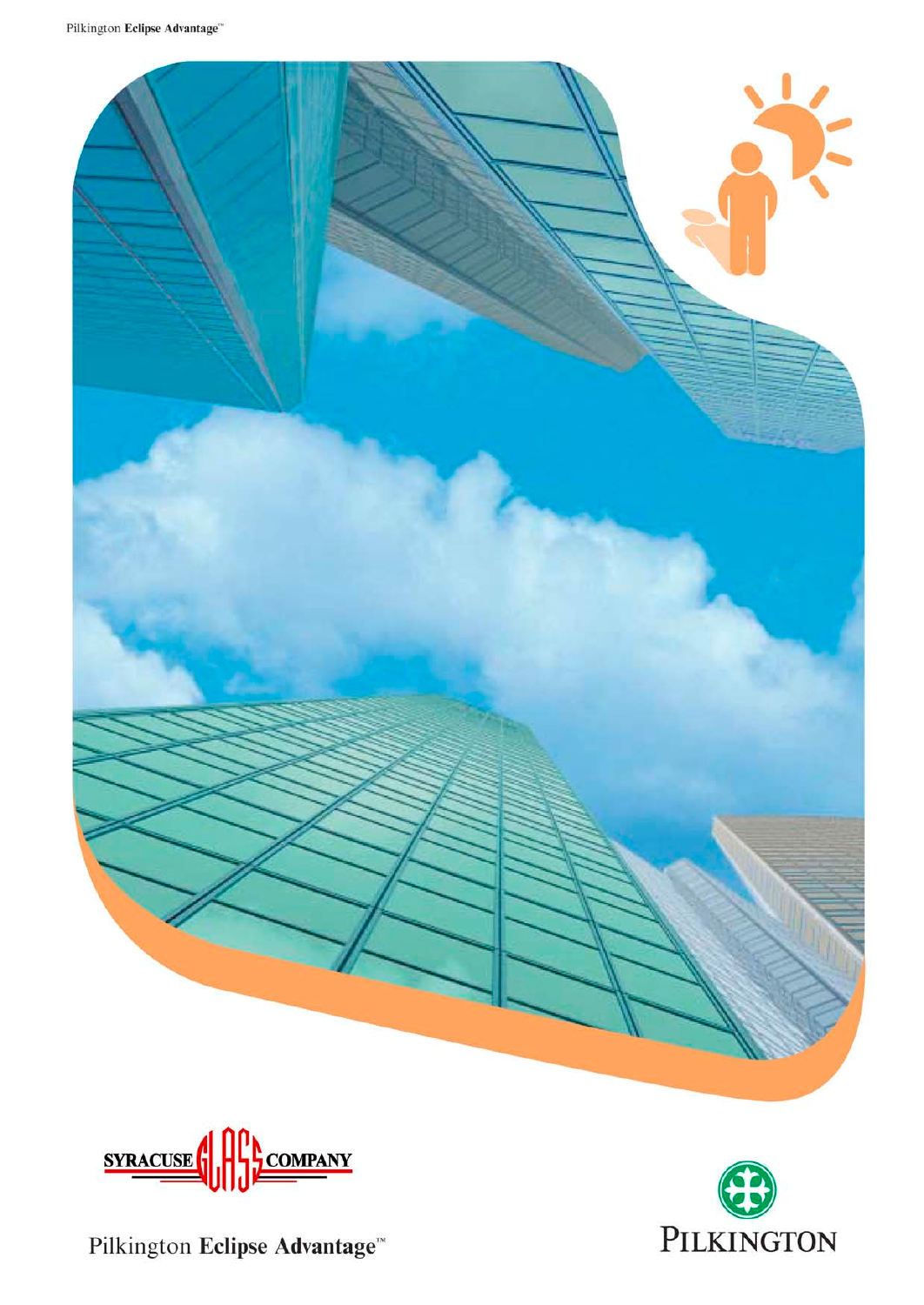



Pilkington Eclipse Advantage™

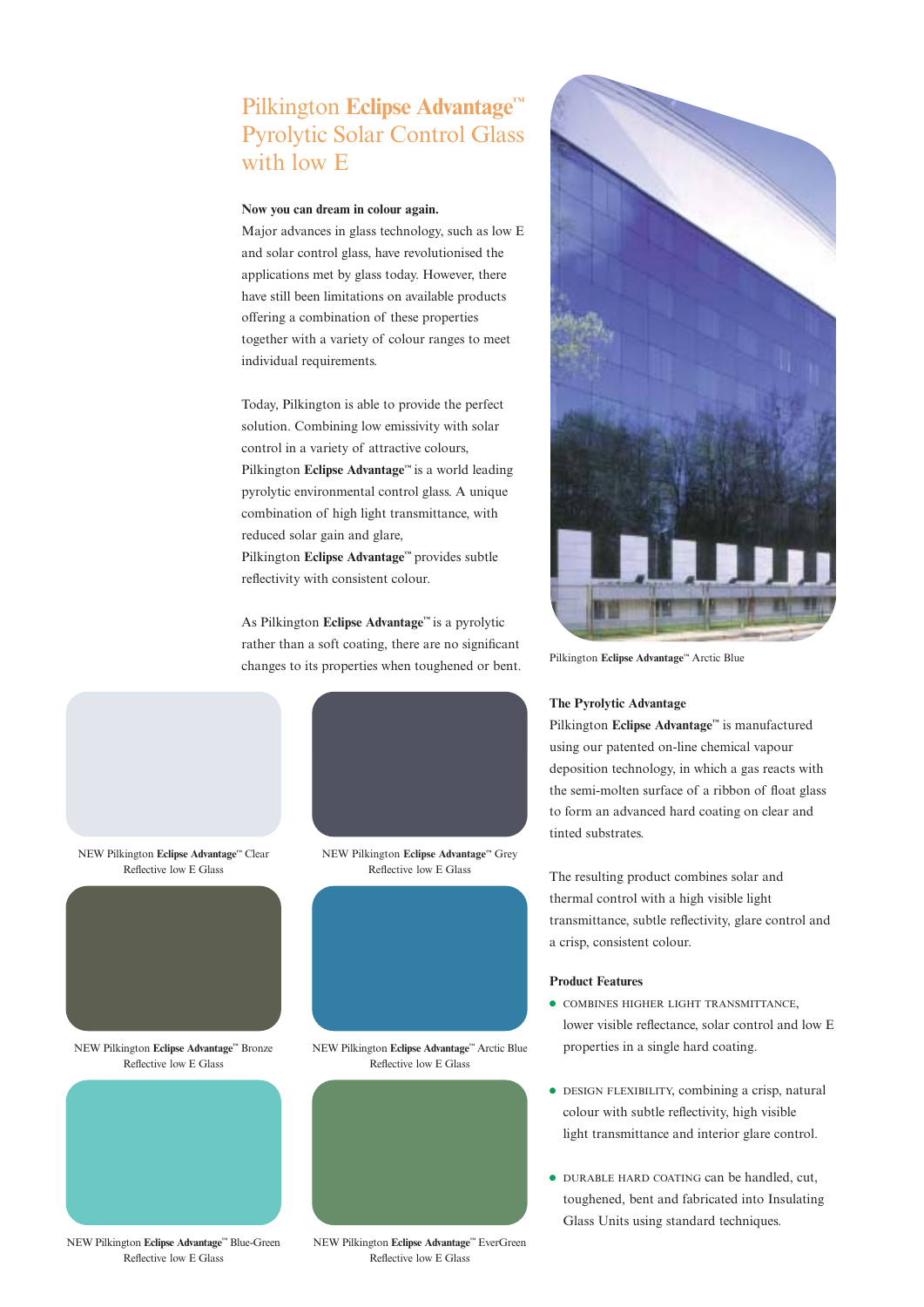# Pilkington **Eclipse Advantage™** Pyrolytic Solar Control Glass with low E

### **Now you can dream in colour again.**

Major advances in glass technology, such as low E and solar control glass, have revolutionised the applications met by glass today. However, there have still been limitations on available products offering a combination of these properties together with a variety of colour ranges to meet individual requirements.

Today, Pilkington is able to provide the perfect solution. Combining low emissivity with solar control in a variety of attractive colours, Pilkington **Eclipse Advantage™** is a world leading pyrolytic environmental control glass. A unique combination of high light transmittance, with reduced solar gain and glare, Pilkington **Eclipse Advantage™** provides subtle reflectivity with consistent colour.

As Pilkington **Eclipse Advantage™** is a pyrolytic rather than a soft coating, there are no significant changes to its properties when toughened or bent.



NEW Pilkington **Eclipse Advantage™** Clear Reflective low E Glass



NEW Pilkington **Eclipse Advantage™** Bronze Reflective low E Glass



NEW Pilkington **Eclipse Advantage™** Blue-Green Reflective low E Glass

NEW Pilkington **Eclipse Advantage™** Grey Reflective low E Glass



NEW Pilkington **Eclipse Advantage™** Arctic Blue Reflective low E Glass





Pilkington **Eclipse Advantage™** Arctic Blue

### **The Pyrolytic Advantage**

Pilkington **Eclipse Advantage™** is manufactured using our patented on-line chemical vapour deposition technology, in which a gas reacts with the semi-molten surface of a ribbon of float glass to form an advanced hard coating on clear and tinted substrates.

The resulting product combines solar and thermal control with a high visible light transmittance, subtle reflectivity, glare control and a crisp, consistent colour.

#### **Product Features**

- COMBINES HIGHER LIGHT TRANSMITTANCE, lower visible reflectance, solar control and low E properties in a single hard coating.
- DESIGN FLEXIBILITY, combining a crisp, natural colour with subtle reflectivity, high visible light transmittance and interior glare control.
- DURABLE HARD COATING can be handled, cut, toughened, bent and fabricated into Insulating Glass Units using standard techniques.

NEW Pilkington **Eclipse Advantage™** EverGreen Reflective low E Glass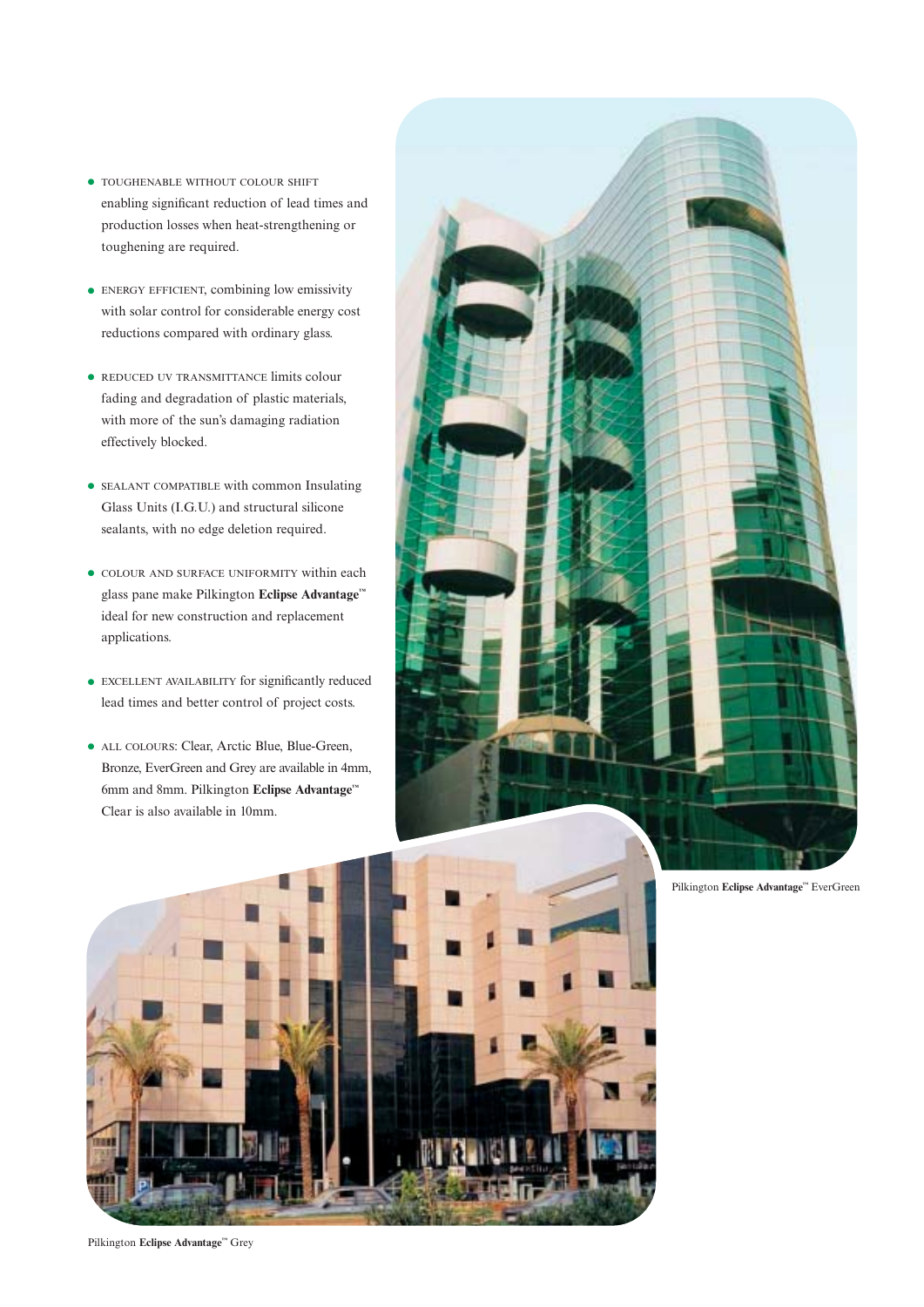- TOUGHENABLE WITHOUT COLOUR SHIFT enabling significant reduction of lead times and production losses when heat-strengthening or toughening are required.
- ENERGY EFFICIENT, combining low emissivity with solar control for considerable energy cost reductions compared with ordinary glass.
- REDUCED UV TRANSMITTANCE limits colour fading and degradation of plastic materials, with more of the sun's damaging radiation effectively blocked.
- SEALANT COMPATIBLE with common Insulating Glass Units (I.G.U.) and structural silicone sealants, with no edge deletion required.
- COLOUR AND SURFACE UNIFORMITY within each glass pane make Pilkington **Eclipse Advantage™** ideal for new construction and replacement applications.
- EXCELLENT AVAILABILITY for significantly reduced lead times and better control of project costs.
- ALL COLOURS: Clear, Arctic Blue, Blue-Green, Bronze, EverGreen and Grey are available in 4mm, 6mm and 8mm. Pilkington **Eclipse Advantage™** Clear is also available in 10mm.





Pilkington **Eclipse Advantage™** EverGreen

Pilkington **Eclipse Advantage™** Grey